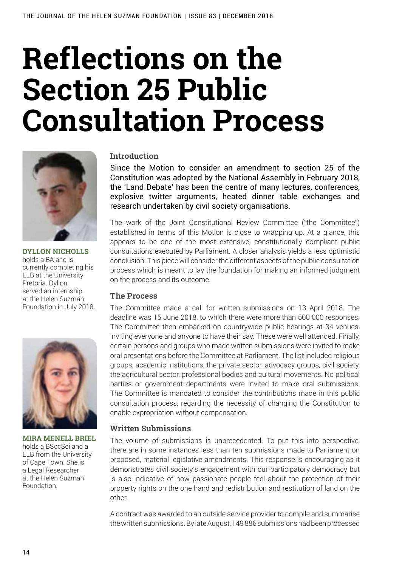# **Reflections on the Section 25 Public Consultation Process**



**Dyllon Nicholls** holds a BA and is currently completing his LLB at the University Pretoria. Dyllon served an internship at the Helen Suzman Foundation in July 2018.



**Mira Menell Briel**  holds a BSocSci and a LLB from the University of Cape Town. She is a Legal Researcher at the Helen Suzman Foundation.

#### **Introduction**

Since the Motion to consider an amendment to section 25 of the Constitution was adopted by the National Assembly in February 2018, the 'Land Debate' has been the centre of many lectures, conferences, explosive twitter arguments, heated dinner table exchanges and research undertaken by civil society organisations.

The work of the Joint Constitutional Review Committee ("the Committee") established in terms of this Motion is close to wrapping up. At a glance, this appears to be one of the most extensive, constitutionally compliant public consultations executed by Parliament. A closer analysis yields a less optimistic conclusion. This piece will consider the different aspects of the public consultation process which is meant to lay the foundation for making an informed judgment on the process and its outcome.

#### **The Process**

The Committee made a call for written submissions on 13 April 2018. The deadline was 15 June 2018, to which there were more than 500 000 responses. The Committee then embarked on countrywide public hearings at 34 venues, inviting everyone and anyone to have their say. These were well attended. Finally, certain persons and groups who made written submissions were invited to make oral presentations before the Committee at Parliament. The list included religious groups, academic institutions, the private sector, advocacy groups, civil society, the agricultural sector, professional bodies and cultural movements. No political parties or government departments were invited to make oral submissions. The Committee is mandated to consider the contributions made in this public consultation process, regarding the necessity of changing the Constitution to enable expropriation without compensation.

# **Written Submissions**

The volume of submissions is unprecedented. To put this into perspective, there are in some instances less than ten submissions made to Parliament on proposed, material legislative amendments. This response is encouraging as it demonstrates civil society's engagement with our participatory democracy but is also indicative of how passionate people feel about the protection of their property rights on the one hand and redistribution and restitution of land on the other.

A contract was awarded to an outside service provider to compile and summarise the written submissions. By late August, 149 886 submissions had been processed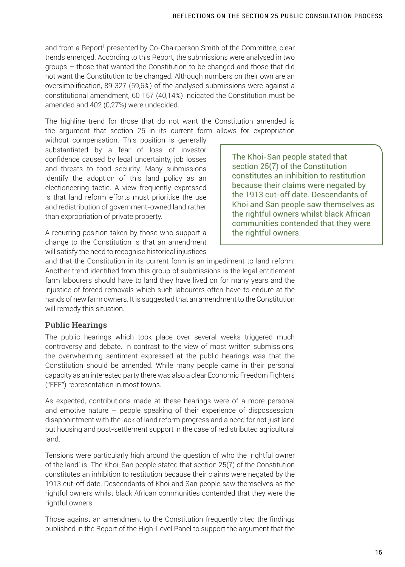and from a Report1 presented by Co-Chairperson Smith of the Committee, clear trends emerged. According to this Report, the submissions were analysed in two groups – those that wanted the Constitution to be changed and those that did not want the Constitution to be changed. Although numbers on their own are an oversimplification, 89 327 (59,6%) of the analysed submissions were against a constitutional amendment, 60 157 (40,14%) indicated the Constitution must be amended and 402 (0,27%) were undecided.

The highline trend for those that do not want the Constitution amended is the argument that section 25 in its current form allows for expropriation

without compensation. This position is generally substantiated by a fear of loss of investor confidence caused by legal uncertainty, job losses and threats to food security. Many submissions identify the adoption of this land policy as an electioneering tactic. A view frequently expressed is that land reform efforts must prioritise the use and redistribution of government-owned land rather than expropriation of private property.

The Khoi-San people stated that section 25(7) of the Constitution constitutes an inhibition to restitution because their claims were negated by the 1913 cut-off date. Descendants of Khoi and San people saw themselves as the rightful owners whilst black African communities contended that they were the rightful owners.

A recurring position taken by those who support a change to the Constitution is that an amendment will satisfy the need to recognise historical injustices

and that the Constitution in its current form is an impediment to land reform. Another trend identified from this group of submissions is the legal entitlement farm labourers should have to land they have lived on for many years and the injustice of forced removals which such labourers often have to endure at the hands of new farm owners. It is suggested that an amendment to the Constitution will remedy this situation.

# **Public Hearings**

The public hearings which took place over several weeks triggered much controversy and debate. In contrast to the view of most written submissions, the overwhelming sentiment expressed at the public hearings was that the Constitution should be amended. While many people came in their personal capacity as an interested party there was also a clear Economic Freedom Fighters ("EFF") representation in most towns.

As expected, contributions made at these hearings were of a more personal and emotive nature – people speaking of their experience of dispossession, disappointment with the lack of land reform progress and a need for not just land but housing and post-settlement support in the case of redistributed agricultural land.

Tensions were particularly high around the question of who the 'rightful owner of the land' is. The Khoi-San people stated that section 25(7) of the Constitution constitutes an inhibition to restitution because their claims were negated by the 1913 cut-off date. Descendants of Khoi and San people saw themselves as the rightful owners whilst black African communities contended that they were the rightful owners.

Those against an amendment to the Constitution frequently cited the findings published in the Report of the High-Level Panel to support the argument that the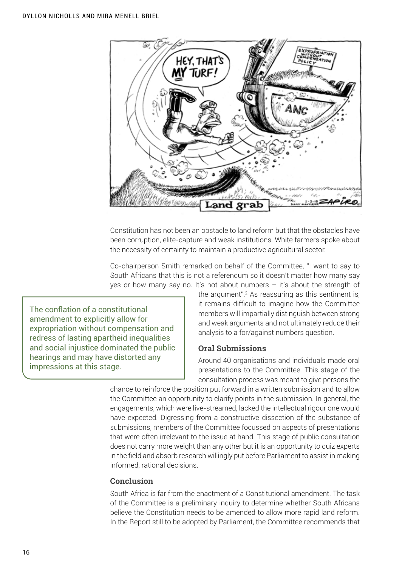

Constitution has not been an obstacle to land reform but that the obstacles have been corruption, elite-capture and weak institutions. White farmers spoke about the necessity of certainty to maintain a productive agricultural sector.

Co-chairperson Smith remarked on behalf of the Committee, "I want to say to South Africans that this is not a referendum so it doesn't matter how many say yes or how many say no. It's not about numbers – it's about the strength of

The conflation of a constitutional amendment to explicitly allow for expropriation without compensation and redress of lasting apartheid inequalities and social injustice dominated the public hearings and may have distorted any impressions at this stage.

the argument".2 As reassuring as this sentiment is, it remains difficult to imagine how the Committee members will impartially distinguish between strong and weak arguments and not ultimately reduce their analysis to a for/against numbers question.

# **Oral Submissions**

Around 40 organisations and individuals made oral presentations to the Committee. This stage of the consultation process was meant to give persons the

chance to reinforce the position put forward in a written submission and to allow the Committee an opportunity to clarify points in the submission. In general, the engagements, which were live-streamed, lacked the intellectual rigour one would have expected. Digressing from a constructive dissection of the substance of submissions, members of the Committee focussed on aspects of presentations that were often irrelevant to the issue at hand. This stage of public consultation does not carry more weight than any other but it is an opportunity to quiz experts in the field and absorb research willingly put before Parliament to assist in making informed, rational decisions.

# **Conclusion**

South Africa is far from the enactment of a Constitutional amendment. The task of the Committee is a preliminary inquiry to determine whether South Africans believe the Constitution needs to be amended to allow more rapid land reform. In the Report still to be adopted by Parliament, the Committee recommends that